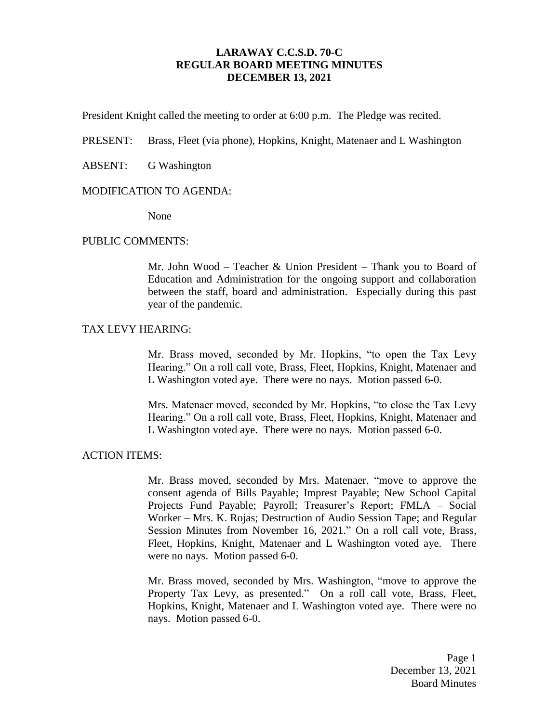# **LARAWAY C.C.S.D. 70-C REGULAR BOARD MEETING MINUTES DECEMBER 13, 2021**

President Knight called the meeting to order at 6:00 p.m. The Pledge was recited.

PRESENT: Brass, Fleet (via phone), Hopkins, Knight, Matenaer and L Washington

ABSENT: G Washington

#### MODIFICATION TO AGENDA:

None

#### PUBLIC COMMENTS:

Mr. John Wood – Teacher & Union President – Thank you to Board of Education and Administration for the ongoing support and collaboration between the staff, board and administration. Especially during this past year of the pandemic.

#### TAX LEVY HEARING:

Mr. Brass moved, seconded by Mr. Hopkins, "to open the Tax Levy Hearing." On a roll call vote, Brass, Fleet, Hopkins, Knight, Matenaer and L Washington voted aye. There were no nays. Motion passed 6-0.

Mrs. Matenaer moved, seconded by Mr. Hopkins, "to close the Tax Levy Hearing." On a roll call vote, Brass, Fleet, Hopkins, Knight, Matenaer and L Washington voted aye. There were no nays. Motion passed 6-0.

#### ACTION ITEMS:

Mr. Brass moved, seconded by Mrs. Matenaer, "move to approve the consent agenda of Bills Payable; Imprest Payable; New School Capital Projects Fund Payable; Payroll; Treasurer's Report; FMLA – Social Worker – Mrs. K. Rojas; Destruction of Audio Session Tape; and Regular Session Minutes from November 16, 2021." On a roll call vote, Brass, Fleet, Hopkins, Knight, Matenaer and L Washington voted aye. There were no nays. Motion passed 6-0.

Mr. Brass moved, seconded by Mrs. Washington, "move to approve the Property Tax Levy, as presented." On a roll call vote, Brass, Fleet, Hopkins, Knight, Matenaer and L Washington voted aye. There were no nays. Motion passed 6-0.

> Page 1 December 13, 2021 Board Minutes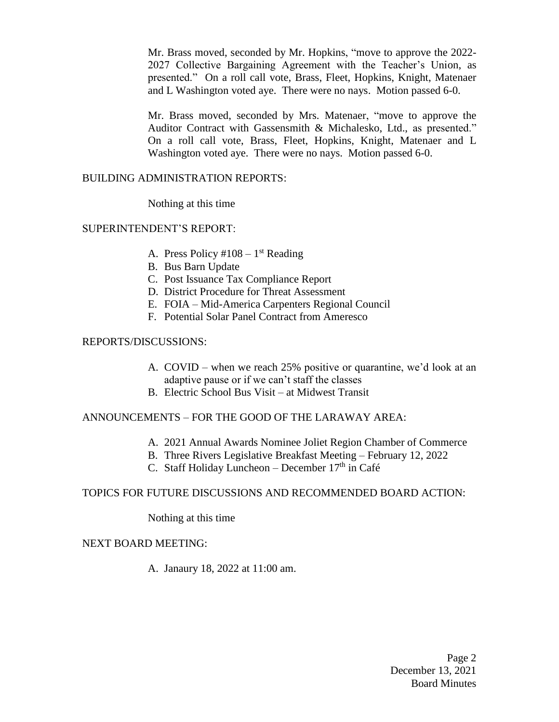Mr. Brass moved, seconded by Mr. Hopkins, "move to approve the 2022- 2027 Collective Bargaining Agreement with the Teacher's Union, as presented." On a roll call vote, Brass, Fleet, Hopkins, Knight, Matenaer and L Washington voted aye. There were no nays. Motion passed 6-0.

Mr. Brass moved, seconded by Mrs. Matenaer, "move to approve the Auditor Contract with Gassensmith & Michalesko, Ltd., as presented." On a roll call vote, Brass, Fleet, Hopkins, Knight, Matenaer and L Washington voted aye. There were no nays. Motion passed 6-0.

## BUILDING ADMINISTRATION REPORTS:

Nothing at this time

### SUPERINTENDENT'S REPORT:

- A. Press Policy  $\#108 1$ <sup>st</sup> Reading
- B. Bus Barn Update
- C. Post Issuance Tax Compliance Report
- D. District Procedure for Threat Assessment
- E. FOIA Mid-America Carpenters Regional Council
- F. Potential Solar Panel Contract from Ameresco

### REPORTS/DISCUSSIONS:

- A. COVID when we reach 25% positive or quarantine, we'd look at an adaptive pause or if we can't staff the classes
- B. Electric School Bus Visit at Midwest Transit

## ANNOUNCEMENTS – FOR THE GOOD OF THE LARAWAY AREA:

- A. 2021 Annual Awards Nominee Joliet Region Chamber of Commerce
- B. Three Rivers Legislative Breakfast Meeting February 12, 2022
- C. Staff Holiday Luncheon December  $17<sup>th</sup>$  in Café

### TOPICS FOR FUTURE DISCUSSIONS AND RECOMMENDED BOARD ACTION:

Nothing at this time

## NEXT BOARD MEETING:

A. Janaury 18, 2022 at 11:00 am.

Page 2 December 13, 2021 Board Minutes